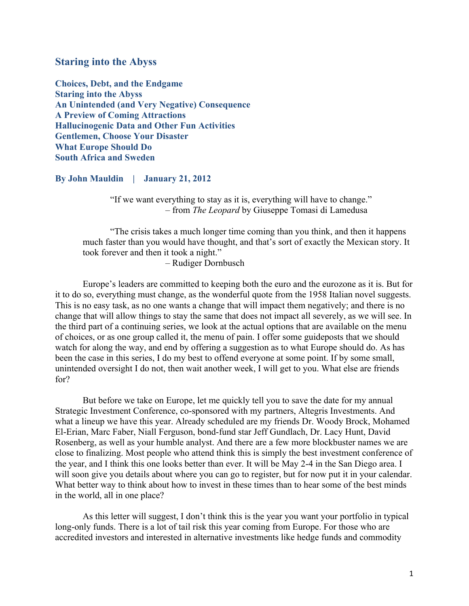# **Staring into the Abyss**

**Choices, Debt, and the Endgame Staring into the Abyss An Unintended (and Very Negative) Consequence A Preview of Coming Attractions Hallucinogenic Data and Other Fun Activities Gentlemen, Choose Your Disaster What Europe Should Do South Africa and Sweden**

**By John Mauldin | January 21, 2012**

"If we want everything to stay as it is, everything will have to change." – from *The Leopard* by Giuseppe Tomasi di Lamedusa

"The crisis takes a much longer time coming than you think, and then it happens much faster than you would have thought, and that's sort of exactly the Mexican story. It took forever and then it took a night."

– Rudiger Dornbusch

Europe's leaders are committed to keeping both the euro and the eurozone as it is. But for it to do so, everything must change, as the wonderful quote from the 1958 Italian novel suggests. This is no easy task, as no one wants a change that will impact them negatively; and there is no change that will allow things to stay the same that does not impact all severely, as we will see. In the third part of a continuing series, we look at the actual options that are available on the menu of choices, or as one group called it, the menu of pain. I offer some guideposts that we should watch for along the way, and end by offering a suggestion as to what Europe should do. As has been the case in this series, I do my best to offend everyone at some point. If by some small, unintended oversight I do not, then wait another week, I will get to you. What else are friends for?

But before we take on Europe, let me quickly tell you to save the date for my annual Strategic Investment Conference, co-sponsored with my partners, Altegris Investments. And what a lineup we have this year. Already scheduled are my friends Dr. Woody Brock, Mohamed El-Erian, Marc Faber, Niall Ferguson, bond-fund star Jeff Gundlach, Dr. Lacy Hunt, David Rosenberg, as well as your humble analyst. And there are a few more blockbuster names we are close to finalizing. Most people who attend think this is simply the best investment conference of the year, and I think this one looks better than ever. It will be May 2-4 in the San Diego area. I will soon give you details about where you can go to register, but for now put it in your calendar. What better way to think about how to invest in these times than to hear some of the best minds in the world, all in one place?

As this letter will suggest, I don't think this is the year you want your portfolio in typical long-only funds. There is a lot of tail risk this year coming from Europe. For those who are accredited investors and interested in alternative investments like hedge funds and commodity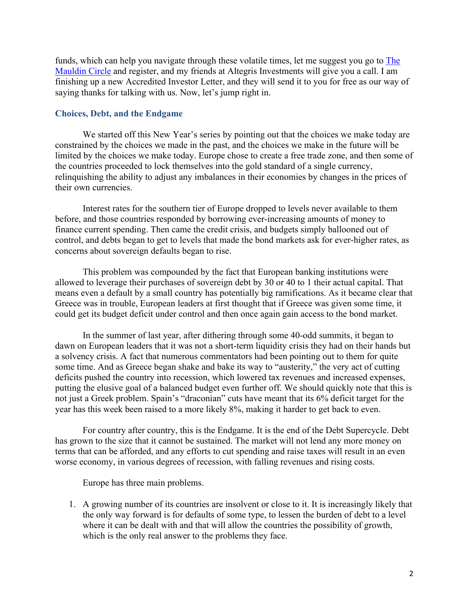funds, which can help you navigate through these volatile times, let me suggest you go to The Mauldin Circle and register, and my friends at Altegris Investments will give you a call. I am finishing up a new Accredited Investor Letter, and they will send it to you for free as our way of saying thanks for talking with us. Now, let's jump right in.

# **Choices, Debt, and the Endgame**

We started off this New Year's series by pointing out that the choices we make today are constrained by the choices we made in the past, and the choices we make in the future will be limited by the choices we make today. Europe chose to create a free trade zone, and then some of the countries proceeded to lock themselves into the gold standard of a single currency, relinquishing the ability to adjust any imbalances in their economies by changes in the prices of their own currencies.

Interest rates for the southern tier of Europe dropped to levels never available to them before, and those countries responded by borrowing ever-increasing amounts of money to finance current spending. Then came the credit crisis, and budgets simply ballooned out of control, and debts began to get to levels that made the bond markets ask for ever-higher rates, as concerns about sovereign defaults began to rise.

This problem was compounded by the fact that European banking institutions were allowed to leverage their purchases of sovereign debt by 30 or 40 to 1 their actual capital. That means even a default by a small country has potentially big ramifications. As it became clear that Greece was in trouble, European leaders at first thought that if Greece was given some time, it could get its budget deficit under control and then once again gain access to the bond market.

In the summer of last year, after dithering through some 40-odd summits, it began to dawn on European leaders that it was not a short-term liquidity crisis they had on their hands but a solvency crisis. A fact that numerous commentators had been pointing out to them for quite some time. And as Greece began shake and bake its way to "austerity," the very act of cutting deficits pushed the country into recession, which lowered tax revenues and increased expenses, putting the elusive goal of a balanced budget even further off. We should quickly note that this is not just a Greek problem. Spain's "draconian" cuts have meant that its 6% deficit target for the year has this week been raised to a more likely 8%, making it harder to get back to even.

For country after country, this is the Endgame. It is the end of the Debt Supercycle. Debt has grown to the size that it cannot be sustained. The market will not lend any more money on terms that can be afforded, and any efforts to cut spending and raise taxes will result in an even worse economy, in various degrees of recession, with falling revenues and rising costs.

Europe has three main problems.

1. A growing number of its countries are insolvent or close to it. It is increasingly likely that the only way forward is for defaults of some type, to lessen the burden of debt to a level where it can be dealt with and that will allow the countries the possibility of growth, which is the only real answer to the problems they face.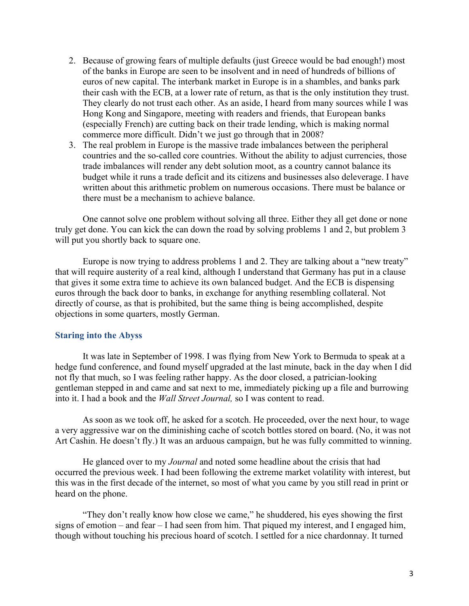- 2. Because of growing fears of multiple defaults (just Greece would be bad enough!) most of the banks in Europe are seen to be insolvent and in need of hundreds of billions of euros of new capital. The interbank market in Europe is in a shambles, and banks park their cash with the ECB, at a lower rate of return, as that is the only institution they trust. They clearly do not trust each other. As an aside, I heard from many sources while I was Hong Kong and Singapore, meeting with readers and friends, that European banks (especially French) are cutting back on their trade lending, which is making normal commerce more difficult. Didn't we just go through that in 2008?
- 3. The real problem in Europe is the massive trade imbalances between the peripheral countries and the so-called core countries. Without the ability to adjust currencies, those trade imbalances will render any debt solution moot, as a country cannot balance its budget while it runs a trade deficit and its citizens and businesses also deleverage. I have written about this arithmetic problem on numerous occasions. There must be balance or there must be a mechanism to achieve balance.

One cannot solve one problem without solving all three. Either they all get done or none truly get done. You can kick the can down the road by solving problems 1 and 2, but problem 3 will put you shortly back to square one.

Europe is now trying to address problems 1 and 2. They are talking about a "new treaty" that will require austerity of a real kind, although I understand that Germany has put in a clause that gives it some extra time to achieve its own balanced budget. And the ECB is dispensing euros through the back door to banks, in exchange for anything resembling collateral. Not directly of course, as that is prohibited, but the same thing is being accomplished, despite objections in some quarters, mostly German.

## **Staring into the Abyss**

It was late in September of 1998. I was flying from New York to Bermuda to speak at a hedge fund conference, and found myself upgraded at the last minute, back in the day when I did not fly that much, so I was feeling rather happy. As the door closed, a patrician-looking gentleman stepped in and came and sat next to me, immediately picking up a file and burrowing into it. I had a book and the *Wall Street Journal,* so I was content to read.

As soon as we took off, he asked for a scotch. He proceeded, over the next hour, to wage a very aggressive war on the diminishing cache of scotch bottles stored on board. (No, it was not Art Cashin. He doesn't fly.) It was an arduous campaign, but he was fully committed to winning.

He glanced over to my *Journal* and noted some headline about the crisis that had occurred the previous week. I had been following the extreme market volatility with interest, but this was in the first decade of the internet, so most of what you came by you still read in print or heard on the phone.

"They don't really know how close we came," he shuddered, his eyes showing the first signs of emotion – and fear – I had seen from him. That piqued my interest, and I engaged him, though without touching his precious hoard of scotch. I settled for a nice chardonnay. It turned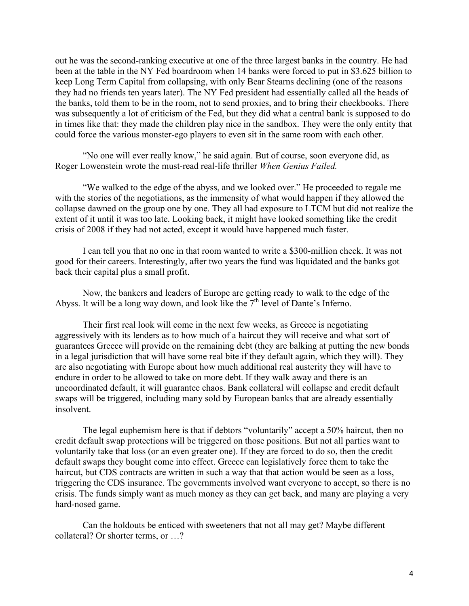out he was the second-ranking executive at one of the three largest banks in the country. He had been at the table in the NY Fed boardroom when 14 banks were forced to put in \$3.625 billion to keep Long Term Capital from collapsing, with only Bear Stearns declining (one of the reasons they had no friends ten years later). The NY Fed president had essentially called all the heads of the banks, told them to be in the room, not to send proxies, and to bring their checkbooks. There was subsequently a lot of criticism of the Fed, but they did what a central bank is supposed to do in times like that: they made the children play nice in the sandbox. They were the only entity that could force the various monster-ego players to even sit in the same room with each other.

"No one will ever really know," he said again. But of course, soon everyone did, as Roger Lowenstein wrote the must-read real-life thriller *When Genius Failed.*

"We walked to the edge of the abyss, and we looked over." He proceeded to regale me with the stories of the negotiations, as the immensity of what would happen if they allowed the collapse dawned on the group one by one. They all had exposure to LTCM but did not realize the extent of it until it was too late. Looking back, it might have looked something like the credit crisis of 2008 if they had not acted, except it would have happened much faster.

I can tell you that no one in that room wanted to write a \$300-million check. It was not good for their careers. Interestingly, after two years the fund was liquidated and the banks got back their capital plus a small profit.

Now, the bankers and leaders of Europe are getting ready to walk to the edge of the Abyss. It will be a long way down, and look like the  $7<sup>th</sup>$  level of Dante's Inferno.

Their first real look will come in the next few weeks, as Greece is negotiating aggressively with its lenders as to how much of a haircut they will receive and what sort of guarantees Greece will provide on the remaining debt (they are balking at putting the new bonds in a legal jurisdiction that will have some real bite if they default again, which they will). They are also negotiating with Europe about how much additional real austerity they will have to endure in order to be allowed to take on more debt. If they walk away and there is an uncoordinated default, it will guarantee chaos. Bank collateral will collapse and credit default swaps will be triggered, including many sold by European banks that are already essentially insolvent.

The legal euphemism here is that if debtors "voluntarily" accept a 50% haircut, then no credit default swap protections will be triggered on those positions. But not all parties want to voluntarily take that loss (or an even greater one). If they are forced to do so, then the credit default swaps they bought come into effect. Greece can legislatively force them to take the haircut, but CDS contracts are written in such a way that that action would be seen as a loss, triggering the CDS insurance. The governments involved want everyone to accept, so there is no crisis. The funds simply want as much money as they can get back, and many are playing a very hard-nosed game.

Can the holdouts be enticed with sweeteners that not all may get? Maybe different collateral? Or shorter terms, or …?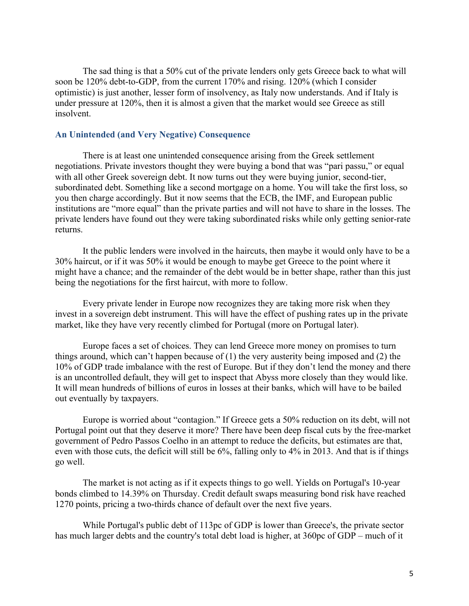The sad thing is that a 50% cut of the private lenders only gets Greece back to what will soon be 120% debt-to-GDP, from the current 170% and rising. 120% (which I consider optimistic) is just another, lesser form of insolvency, as Italy now understands. And if Italy is under pressure at 120%, then it is almost a given that the market would see Greece as still insolvent.

# **An Unintended (and Very Negative) Consequence**

There is at least one unintended consequence arising from the Greek settlement negotiations. Private investors thought they were buying a bond that was "pari passu," or equal with all other Greek sovereign debt. It now turns out they were buying junior, second-tier, subordinated debt. Something like a second mortgage on a home. You will take the first loss, so you then charge accordingly. But it now seems that the ECB, the IMF, and European public institutions are "more equal" than the private parties and will not have to share in the losses. The private lenders have found out they were taking subordinated risks while only getting senior-rate returns.

It the public lenders were involved in the haircuts, then maybe it would only have to be a 30% haircut, or if it was 50% it would be enough to maybe get Greece to the point where it might have a chance; and the remainder of the debt would be in better shape, rather than this just being the negotiations for the first haircut, with more to follow.

Every private lender in Europe now recognizes they are taking more risk when they invest in a sovereign debt instrument. This will have the effect of pushing rates up in the private market, like they have very recently climbed for Portugal (more on Portugal later).

Europe faces a set of choices. They can lend Greece more money on promises to turn things around, which can't happen because of (1) the very austerity being imposed and (2) the 10% of GDP trade imbalance with the rest of Europe. But if they don't lend the money and there is an uncontrolled default, they will get to inspect that Abyss more closely than they would like. It will mean hundreds of billions of euros in losses at their banks, which will have to be bailed out eventually by taxpayers.

Europe is worried about "contagion." If Greece gets a 50% reduction on its debt, will not Portugal point out that they deserve it more? There have been deep fiscal cuts by the free-market government of Pedro Passos Coelho in an attempt to reduce the deficits, but estimates are that, even with those cuts, the deficit will still be 6%, falling only to 4% in 2013. And that is if things go well.

The market is not acting as if it expects things to go well. Yields on Portugal's 10-year bonds climbed to 14.39% on Thursday. Credit default swaps measuring bond risk have reached 1270 points, pricing a two-thirds chance of default over the next five years.

While Portugal's public debt of 113pc of GDP is lower than Greece's, the private sector has much larger debts and the country's total debt load is higher, at 360pc of GDP – much of it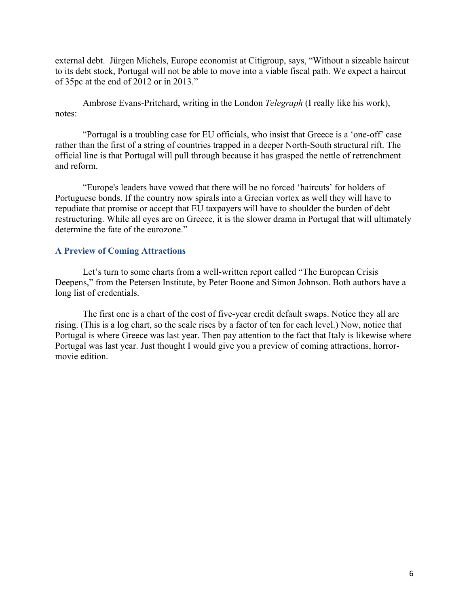external debt. Jürgen Michels, Europe economist at Citigroup, says, "Without a sizeable haircut to its debt stock, Portugal will not be able to move into a viable fiscal path. We expect a haircut of 35pc at the end of 2012 or in 2013."

Ambrose Evans-Pritchard, writing in the London *Telegraph* (I really like his work), notes:

"Portugal is a troubling case for EU officials, who insist that Greece is a 'one-off' case rather than the first of a string of countries trapped in a deeper North-South structural rift. The official line is that Portugal will pull through because it has grasped the nettle of retrenchment and reform.

"Europe's leaders have vowed that there will be no forced 'haircuts' for holders of Portuguese bonds. If the country now spirals into a Grecian vortex as well they will have to repudiate that promise or accept that EU taxpayers will have to shoulder the burden of debt restructuring. While all eyes are on Greece, it is the slower drama in Portugal that will ultimately determine the fate of the eurozone."

# **A Preview of Coming Attractions**

Let's turn to some charts from a well-written report called "The European Crisis Deepens," from the Petersen Institute, by Peter Boone and Simon Johnson. Both authors have a long list of credentials.

The first one is a chart of the cost of five-year credit default swaps. Notice they all are rising. (This is a log chart, so the scale rises by a factor of ten for each level.) Now, notice that Portugal is where Greece was last year. Then pay attention to the fact that Italy is likewise where Portugal was last year. Just thought I would give you a preview of coming attractions, horrormovie edition.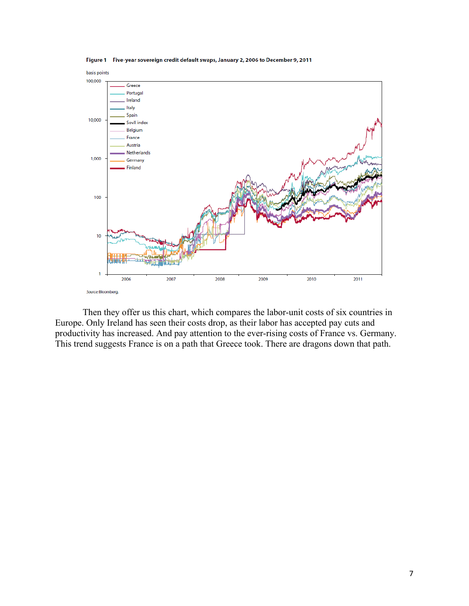

Figure 1 Five-year sovereign credit default swaps, January 2, 2006 to December 9, 2011

Then they offer us this chart, which compares the labor-unit costs of six countries in Europe. Only Ireland has seen their costs drop, as their labor has accepted pay cuts and productivity has increased. And pay attention to the ever-rising costs of France vs. Germany. This trend suggests France is on a path that Greece took. There are dragons down that path.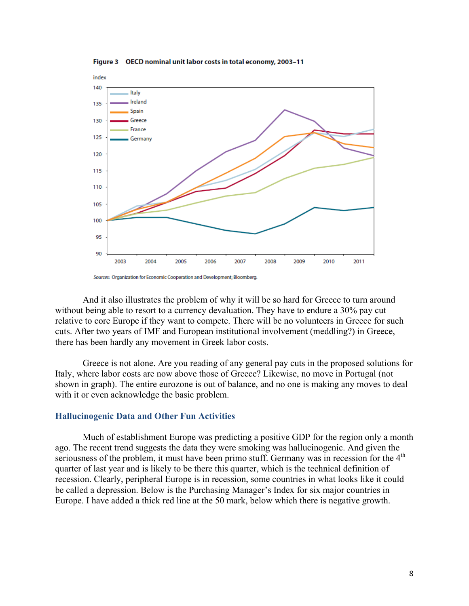Figure 3 OECD nominal unit labor costs in total economy, 2003-11



Sources: Organization for Economic Cooperation and Development; Bloomberg.

And it also illustrates the problem of why it will be so hard for Greece to turn around without being able to resort to a currency devaluation. They have to endure a 30% pay cut relative to core Europe if they want to compete. There will be no volunteers in Greece for such cuts. After two years of IMF and European institutional involvement (meddling?) in Greece, there has been hardly any movement in Greek labor costs.

Greece is not alone. Are you reading of any general pay cuts in the proposed solutions for Italy, where labor costs are now above those of Greece? Likewise, no move in Portugal (not shown in graph). The entire eurozone is out of balance, and no one is making any moves to deal with it or even acknowledge the basic problem.

### **Hallucinogenic Data and Other Fun Activities**

Much of establishment Europe was predicting a positive GDP for the region only a month ago. The recent trend suggests the data they were smoking was hallucinogenic. And given the seriousness of the problem, it must have been primo stuff. Germany was in recession for the 4<sup>th</sup> quarter of last year and is likely to be there this quarter, which is the technical definition of recession. Clearly, peripheral Europe is in recession, some countries in what looks like it could be called a depression. Below is the Purchasing Manager's Index for six major countries in Europe. I have added a thick red line at the 50 mark, below which there is negative growth.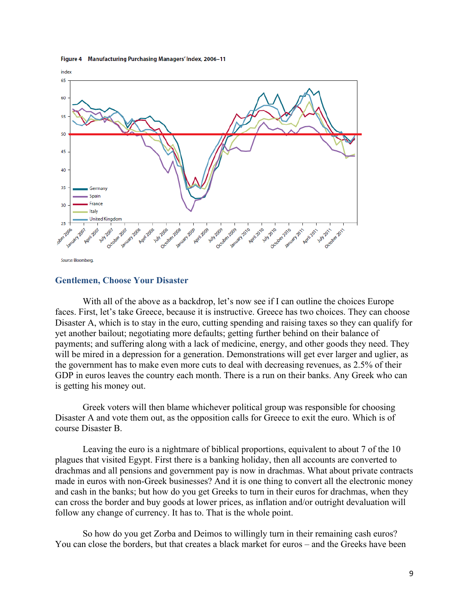



### **Gentlemen, Choose Your Disaster**

With all of the above as a backdrop, let's now see if I can outline the choices Europe faces. First, let's take Greece, because it is instructive. Greece has two choices. They can choose Disaster A, which is to stay in the euro, cutting spending and raising taxes so they can qualify for yet another bailout; negotiating more defaults; getting further behind on their balance of payments; and suffering along with a lack of medicine, energy, and other goods they need. They will be mired in a depression for a generation. Demonstrations will get ever larger and uglier, as the government has to make even more cuts to deal with decreasing revenues, as 2.5% of their GDP in euros leaves the country each month. There is a run on their banks. Any Greek who can is getting his money out.

Greek voters will then blame whichever political group was responsible for choosing Disaster A and vote them out, as the opposition calls for Greece to exit the euro. Which is of course Disaster B.

Leaving the euro is a nightmare of biblical proportions, equivalent to about 7 of the 10 plagues that visited Egypt. First there is a banking holiday, then all accounts are converted to drachmas and all pensions and government pay is now in drachmas. What about private contracts made in euros with non-Greek businesses? And it is one thing to convert all the electronic money and cash in the banks; but how do you get Greeks to turn in their euros for drachmas, when they can cross the border and buy goods at lower prices, as inflation and/or outright devaluation will follow any change of currency. It has to. That is the whole point.

So how do you get Zorba and Deimos to willingly turn in their remaining cash euros? You can close the borders, but that creates a black market for euros – and the Greeks have been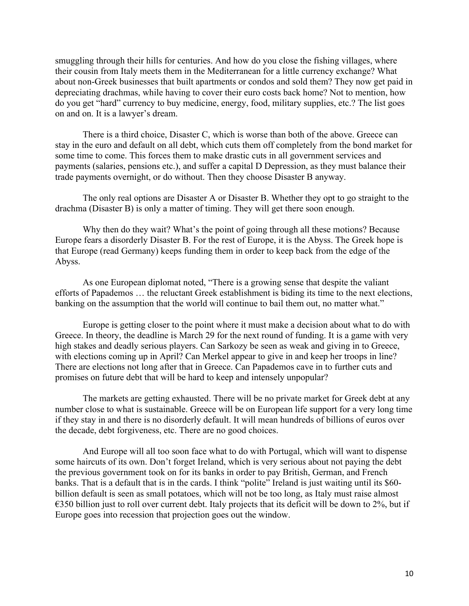smuggling through their hills for centuries. And how do you close the fishing villages, where their cousin from Italy meets them in the Mediterranean for a little currency exchange? What about non-Greek businesses that built apartments or condos and sold them? They now get paid in depreciating drachmas, while having to cover their euro costs back home? Not to mention, how do you get "hard" currency to buy medicine, energy, food, military supplies, etc.? The list goes on and on. It is a lawyer's dream.

There is a third choice, Disaster C, which is worse than both of the above. Greece can stay in the euro and default on all debt, which cuts them off completely from the bond market for some time to come. This forces them to make drastic cuts in all government services and payments (salaries, pensions etc.), and suffer a capital D Depression, as they must balance their trade payments overnight, or do without. Then they choose Disaster B anyway.

The only real options are Disaster A or Disaster B. Whether they opt to go straight to the drachma (Disaster B) is only a matter of timing. They will get there soon enough.

Why then do they wait? What's the point of going through all these motions? Because Europe fears a disorderly Disaster B. For the rest of Europe, it is the Abyss. The Greek hope is that Europe (read Germany) keeps funding them in order to keep back from the edge of the Abyss.

As one European diplomat noted, "There is a growing sense that despite the valiant efforts of Papademos … the reluctant Greek establishment is biding its time to the next elections, banking on the assumption that the world will continue to bail them out, no matter what."

Europe is getting closer to the point where it must make a decision about what to do with Greece. In theory, the deadline is March 29 for the next round of funding. It is a game with very high stakes and deadly serious players. Can Sarkozy be seen as weak and giving in to Greece, with elections coming up in April? Can Merkel appear to give in and keep her troops in line? There are elections not long after that in Greece. Can Papademos cave in to further cuts and promises on future debt that will be hard to keep and intensely unpopular?

The markets are getting exhausted. There will be no private market for Greek debt at any number close to what is sustainable. Greece will be on European life support for a very long time if they stay in and there is no disorderly default. It will mean hundreds of billions of euros over the decade, debt forgiveness, etc. There are no good choices.

And Europe will all too soon face what to do with Portugal, which will want to dispense some haircuts of its own. Don't forget Ireland, which is very serious about not paying the debt the previous government took on for its banks in order to pay British, German, and French banks. That is a default that is in the cards. I think "polite" Ireland is just waiting until its \$60 billion default is seen as small potatoes, which will not be too long, as Italy must raise almost  $\epsilon$ 350 billion just to roll over current debt. Italy projects that its deficit will be down to 2%, but if Europe goes into recession that projection goes out the window.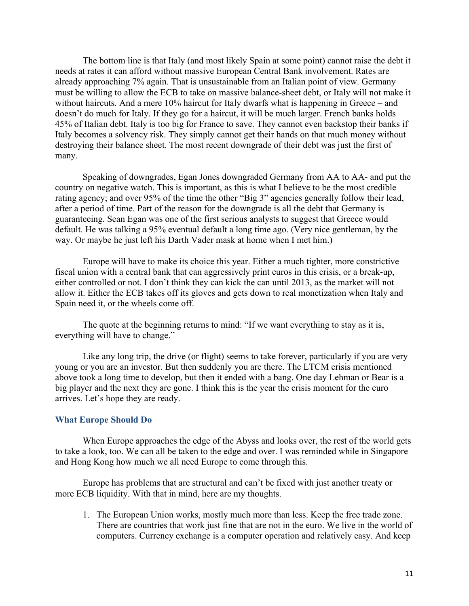The bottom line is that Italy (and most likely Spain at some point) cannot raise the debt it needs at rates it can afford without massive European Central Bank involvement. Rates are already approaching 7% again. That is unsustainable from an Italian point of view. Germany must be willing to allow the ECB to take on massive balance-sheet debt, or Italy will not make it without haircuts. And a mere 10% haircut for Italy dwarfs what is happening in Greece – and doesn't do much for Italy. If they go for a haircut, it will be much larger. French banks holds 45% of Italian debt. Italy is too big for France to save. They cannot even backstop their banks if Italy becomes a solvency risk. They simply cannot get their hands on that much money without destroying their balance sheet. The most recent downgrade of their debt was just the first of many.

Speaking of downgrades, Egan Jones downgraded Germany from AA to AA- and put the country on negative watch. This is important, as this is what I believe to be the most credible rating agency; and over 95% of the time the other "Big 3" agencies generally follow their lead, after a period of time. Part of the reason for the downgrade is all the debt that Germany is guaranteeing. Sean Egan was one of the first serious analysts to suggest that Greece would default. He was talking a 95% eventual default a long time ago. (Very nice gentleman, by the way. Or maybe he just left his Darth Vader mask at home when I met him.)

Europe will have to make its choice this year. Either a much tighter, more constrictive fiscal union with a central bank that can aggressively print euros in this crisis, or a break-up, either controlled or not. I don't think they can kick the can until 2013, as the market will not allow it. Either the ECB takes off its gloves and gets down to real monetization when Italy and Spain need it, or the wheels come off.

The quote at the beginning returns to mind: "If we want everything to stay as it is, everything will have to change."

Like any long trip, the drive (or flight) seems to take forever, particularly if you are very young or you are an investor. But then suddenly you are there. The LTCM crisis mentioned above took a long time to develop, but then it ended with a bang. One day Lehman or Bear is a big player and the next they are gone. I think this is the year the crisis moment for the euro arrives. Let's hope they are ready.

#### **What Europe Should Do**

When Europe approaches the edge of the Abyss and looks over, the rest of the world gets to take a look, too. We can all be taken to the edge and over. I was reminded while in Singapore and Hong Kong how much we all need Europe to come through this.

Europe has problems that are structural and can't be fixed with just another treaty or more ECB liquidity. With that in mind, here are my thoughts.

1. The European Union works, mostly much more than less. Keep the free trade zone. There are countries that work just fine that are not in the euro. We live in the world of computers. Currency exchange is a computer operation and relatively easy. And keep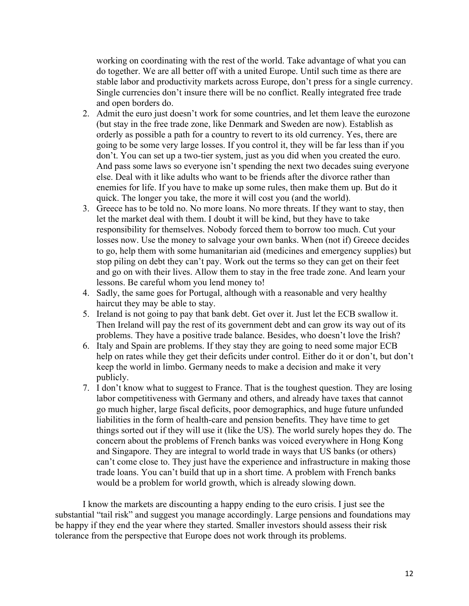working on coordinating with the rest of the world. Take advantage of what you can do together. We are all better off with a united Europe. Until such time as there are stable labor and productivity markets across Europe, don't press for a single currency. Single currencies don't insure there will be no conflict. Really integrated free trade and open borders do.

- 2. Admit the euro just doesn't work for some countries, and let them leave the eurozone (but stay in the free trade zone, like Denmark and Sweden are now). Establish as orderly as possible a path for a country to revert to its old currency. Yes, there are going to be some very large losses. If you control it, they will be far less than if you don't. You can set up a two-tier system, just as you did when you created the euro. And pass some laws so everyone isn't spending the next two decades suing everyone else. Deal with it like adults who want to be friends after the divorce rather than enemies for life. If you have to make up some rules, then make them up. But do it quick. The longer you take, the more it will cost you (and the world).
- 3. Greece has to be told no. No more loans. No more threats. If they want to stay, then let the market deal with them. I doubt it will be kind, but they have to take responsibility for themselves. Nobody forced them to borrow too much. Cut your losses now. Use the money to salvage your own banks. When (not if) Greece decides to go, help them with some humanitarian aid (medicines and emergency supplies) but stop piling on debt they can't pay. Work out the terms so they can get on their feet and go on with their lives. Allow them to stay in the free trade zone. And learn your lessons. Be careful whom you lend money to!
- 4. Sadly, the same goes for Portugal, although with a reasonable and very healthy haircut they may be able to stay.
- 5. Ireland is not going to pay that bank debt. Get over it. Just let the ECB swallow it. Then Ireland will pay the rest of its government debt and can grow its way out of its problems. They have a positive trade balance. Besides, who doesn't love the Irish?
- 6. Italy and Spain are problems. If they stay they are going to need some major ECB help on rates while they get their deficits under control. Either do it or don't, but don't keep the world in limbo. Germany needs to make a decision and make it very publicly.
- 7. I don't know what to suggest to France. That is the toughest question. They are losing labor competitiveness with Germany and others, and already have taxes that cannot go much higher, large fiscal deficits, poor demographics, and huge future unfunded liabilities in the form of health-care and pension benefits. They have time to get things sorted out if they will use it (like the US). The world surely hopes they do. The concern about the problems of French banks was voiced everywhere in Hong Kong and Singapore. They are integral to world trade in ways that US banks (or others) can't come close to. They just have the experience and infrastructure in making those trade loans. You can't build that up in a short time. A problem with French banks would be a problem for world growth, which is already slowing down.

I know the markets are discounting a happy ending to the euro crisis. I just see the substantial "tail risk" and suggest you manage accordingly. Large pensions and foundations may be happy if they end the year where they started. Smaller investors should assess their risk tolerance from the perspective that Europe does not work through its problems.